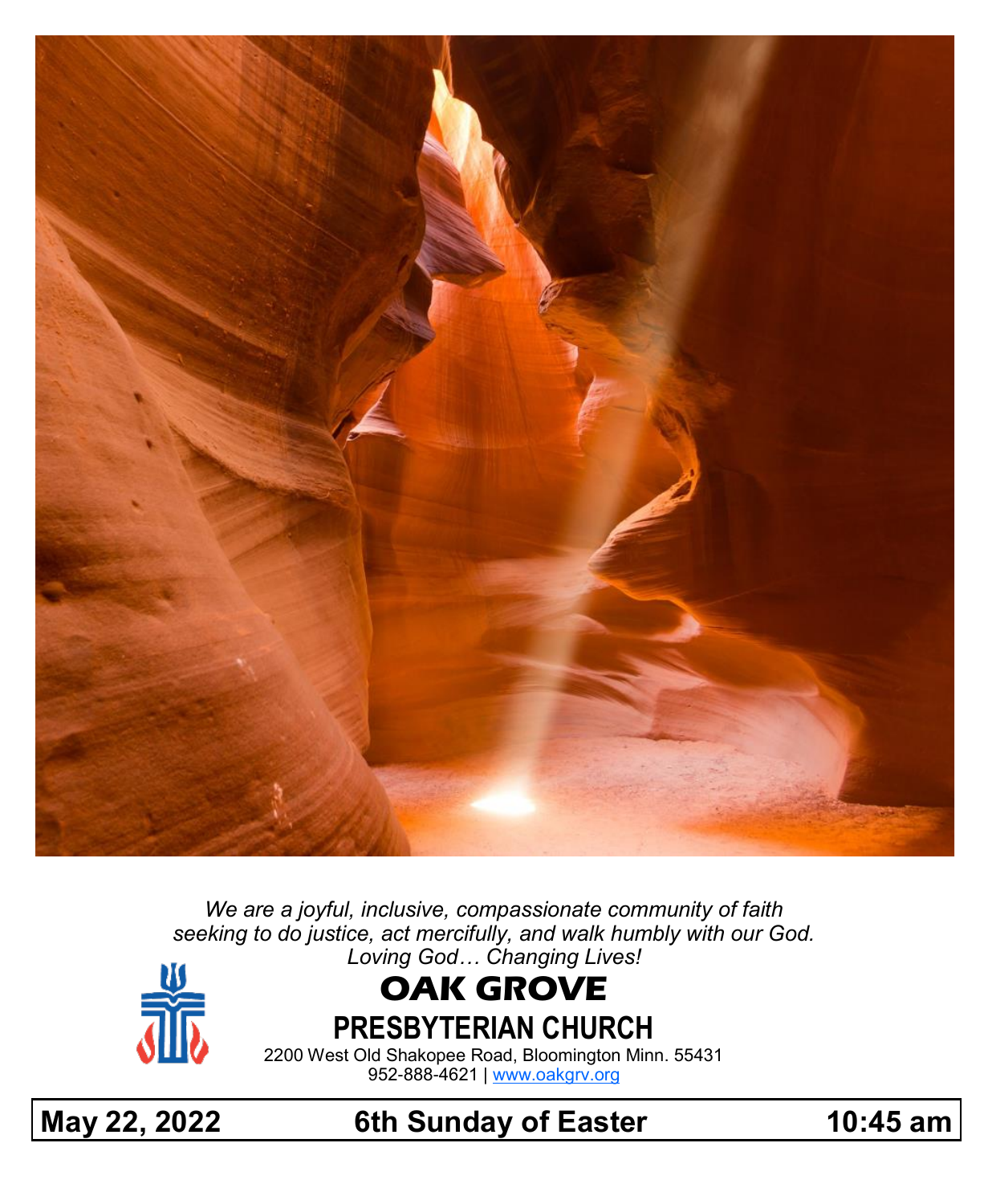

*We are a joyful, inclusive, compassionate community of faith seeking to do justice, act mercifully, and walk humbly with our God. Loving God… Changing Lives!*



# **OAK GROVE**

**PRESBYTERIAN CHURCH**

2200 West Old Shakopee Road, Bloomington Minn. 55431 952-888-4621 | [www.oakgrv.org](https://www.oakgrv.org)

**May 22, 2022 6th Sunday of Easter 10:45 am**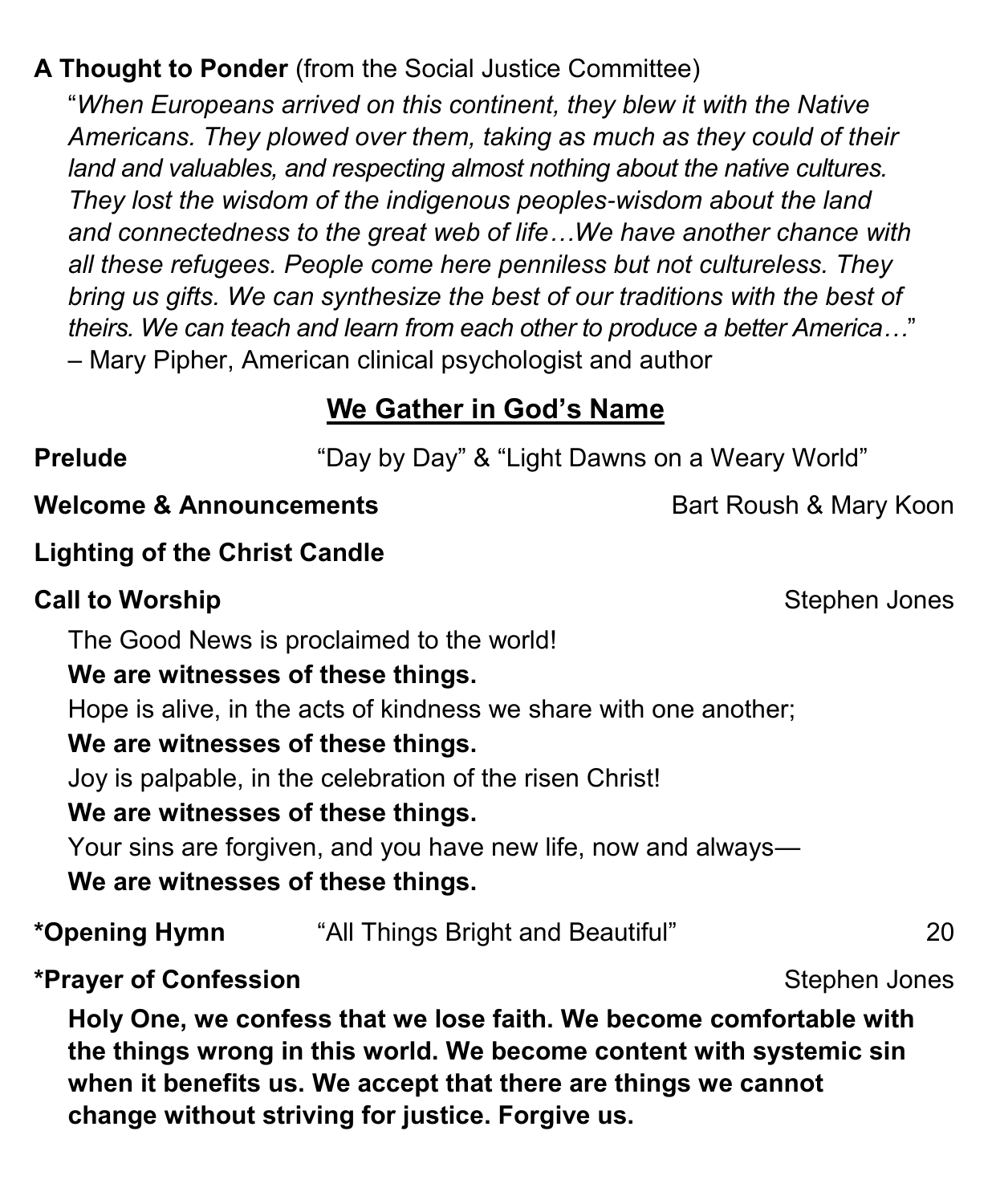# **A Thought to Ponder** (from the Social Justice Committee)

"*When Europeans arrived on this continent, they blew it with the Native Americans. They plowed over them, taking as much as they could of their land and valuables, and respecting almost nothing about the native cultures. They lost the wisdom of the indigenous peoples-wisdom about the land and connectedness to the great web of life…We have another chance with all these refugees. People come here penniless but not cultureless. They bring us gifts. We can synthesize the best of our traditions with the best of theirs. We can teach and learn from each other to produce a better America…*" – Mary Pipher, American clinical psychologist and author

# **We Gather in God's Name**

**Prelude** "Day by Day" & "Light Dawns on a Weary World"

#### **Welcome & Announcements Bart Roush & Mary Koon**

### **Lighting of the Christ Candle**

### **Call to Worship** Stephen Jones

The Good News is proclaimed to the world!

### **We are witnesses of these things.**

Hope is alive, in the acts of kindness we share with one another;

#### **We are witnesses of these things.**

Joy is palpable, in the celebration of the risen Christ!

#### **We are witnesses of these things.**

Your sins are forgiven, and you have new life, now and always—

#### **We are witnesses of these things.**

**\*Opening Hymn** "All Things Bright and Beautiful" 20

#### \*Prayer of Confession **Stephen Jones** \*Prayer of Confession

**Holy One, we confess that we lose faith. We become comfortable with the things wrong in this world. We become content with systemic sin when it benefits us. We accept that there are things we cannot change without striving for justice. Forgive us.**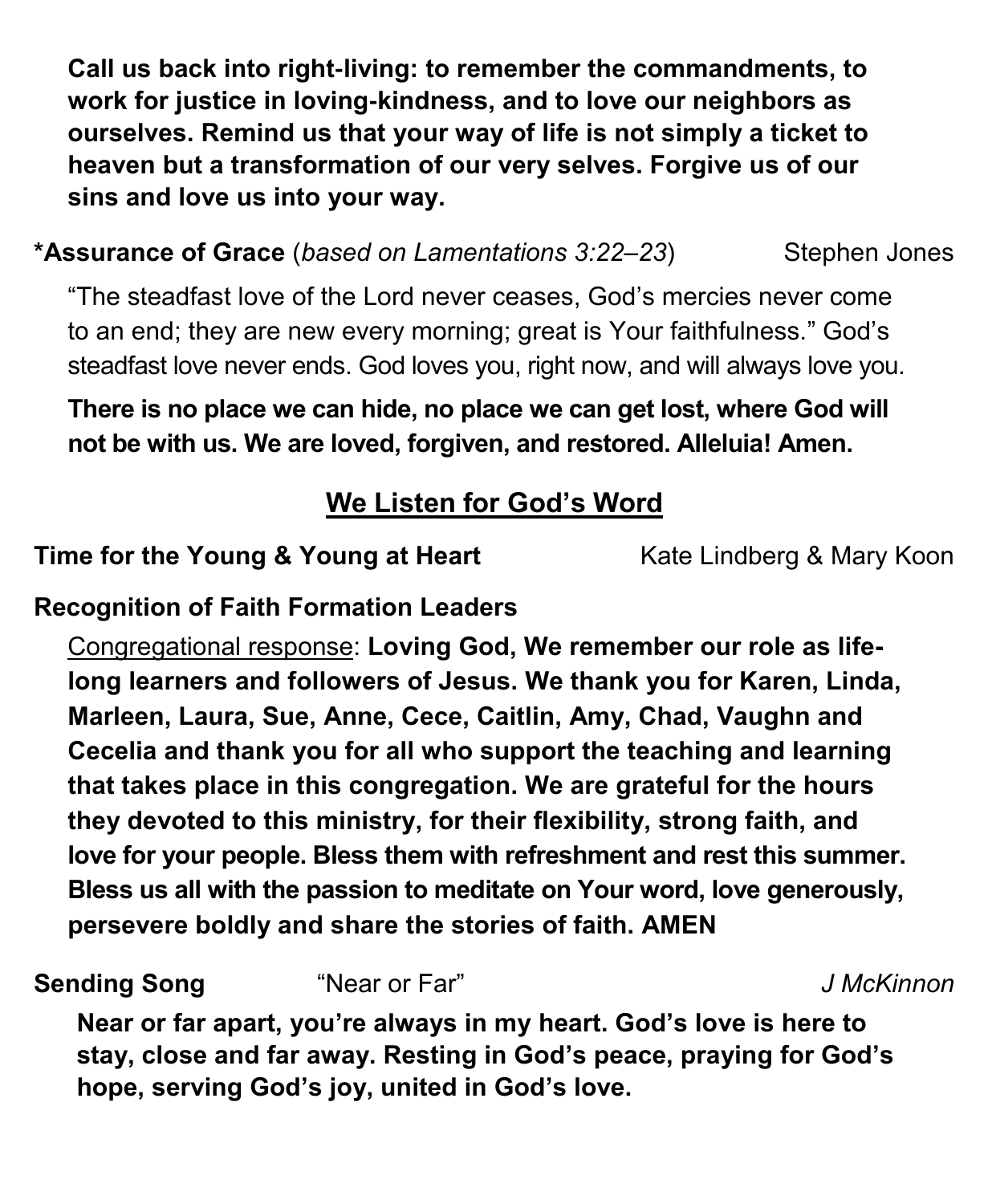**Call us back into right-living: to remember the commandments, to work for justice in loving-kindness, and to love our neighbors as ourselves. Remind us that your way of life is not simply a ticket to heaven but a transformation of our very selves. Forgive us of our sins and love us into your way.**

**\*Assurance of Grace** (*based on Lamentations 3:22–23*) Stephen Jones

"The steadfast love of the Lord never ceases, God's mercies never come to an end; they are new every morning; great is Your faithfulness." God's steadfast love never ends. God loves you, right now, and will always love you.

**There is no place we can hide, no place we can get lost, where God will not be with us. We are loved, forgiven, and restored. Alleluia! Amen.**

# **We Listen for God's Word**

**Time for the Young & Young at Heart** Kate Lindberg & Mary Koon

**Recognition of Faith Formation Leaders**

Congregational response: **Loving God, We remember our role as lifelong learners and followers of Jesus. We thank you for Karen, Linda, Marleen, Laura, Sue, Anne, Cece, Caitlin, Amy, Chad, Vaughn and Cecelia and thank you for all who support the teaching and learning that takes place in this congregation. We are grateful for the hours they devoted to this ministry, for their flexibility, strong faith, and love for your people. Bless them with refreshment and rest this summer. Bless us all with the passion to meditate on Your word, love generously, persevere boldly and share the stories of faith. AMEN**

**Sending Song** "Near or Far" *J McKinnon*

**Near or far apart, you're always in my heart. God's love is here to stay, close and far away. Resting in God's peace, praying for God's hope, serving God's joy, united in God's love.**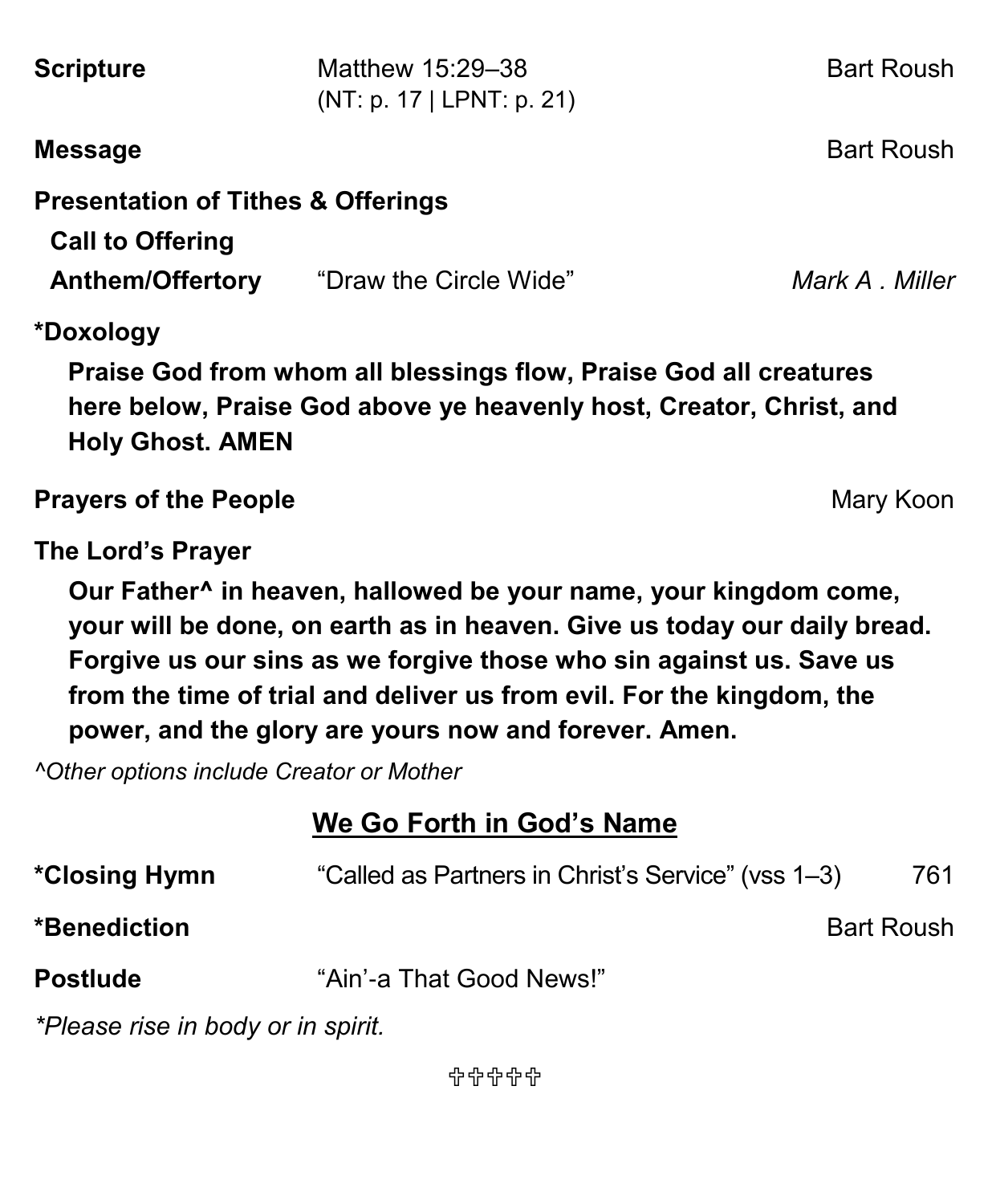| <b>Scripture</b>                                                                                                                                                                                                                                                                                                                                                                                                                          | Matthew 15:29-38<br>(NT: p. 17   LPNT: p. 21)      | <b>Bart Roush</b> |
|-------------------------------------------------------------------------------------------------------------------------------------------------------------------------------------------------------------------------------------------------------------------------------------------------------------------------------------------------------------------------------------------------------------------------------------------|----------------------------------------------------|-------------------|
| <b>Message</b>                                                                                                                                                                                                                                                                                                                                                                                                                            |                                                    | <b>Bart Roush</b> |
| <b>Presentation of Tithes &amp; Offerings</b><br><b>Call to Offering</b>                                                                                                                                                                                                                                                                                                                                                                  | <b>Anthem/Offertory</b> "Draw the Circle Wide"     | Mark A Miller     |
| *Doxology<br>Praise God from whom all blessings flow, Praise God all creatures<br>here below, Praise God above ye heavenly host, Creator, Christ, and<br><b>Holy Ghost. AMEN</b>                                                                                                                                                                                                                                                          |                                                    |                   |
| <b>Prayers of the People</b>                                                                                                                                                                                                                                                                                                                                                                                                              |                                                    | Mary Koon         |
| The Lord's Prayer<br>Our Father <sup>^</sup> in heaven, hallowed be your name, your kingdom come,<br>your will be done, on earth as in heaven. Give us today our daily bread.<br>Forgive us our sins as we forgive those who sin against us. Save us<br>from the time of trial and deliver us from evil. For the kingdom, the<br>power, and the glory are yours now and forever. Amen.<br><b>^Other options include Creator or Mother</b> |                                                    |                   |
| We Go Forth in God's Name                                                                                                                                                                                                                                                                                                                                                                                                                 |                                                    |                   |
| *Closing Hymn                                                                                                                                                                                                                                                                                                                                                                                                                             | "Called as Partners in Christ's Service" (vss 1-3) | 761               |
| *Benediction<br><b>Bart Roush</b>                                                                                                                                                                                                                                                                                                                                                                                                         |                                                    |                   |
| <b>Postlude</b>                                                                                                                                                                                                                                                                                                                                                                                                                           | "Ain'-a That Good News!"                           |                   |
| *Please rise in body or in spirit.                                                                                                                                                                                                                                                                                                                                                                                                        |                                                    |                   |

유유유유유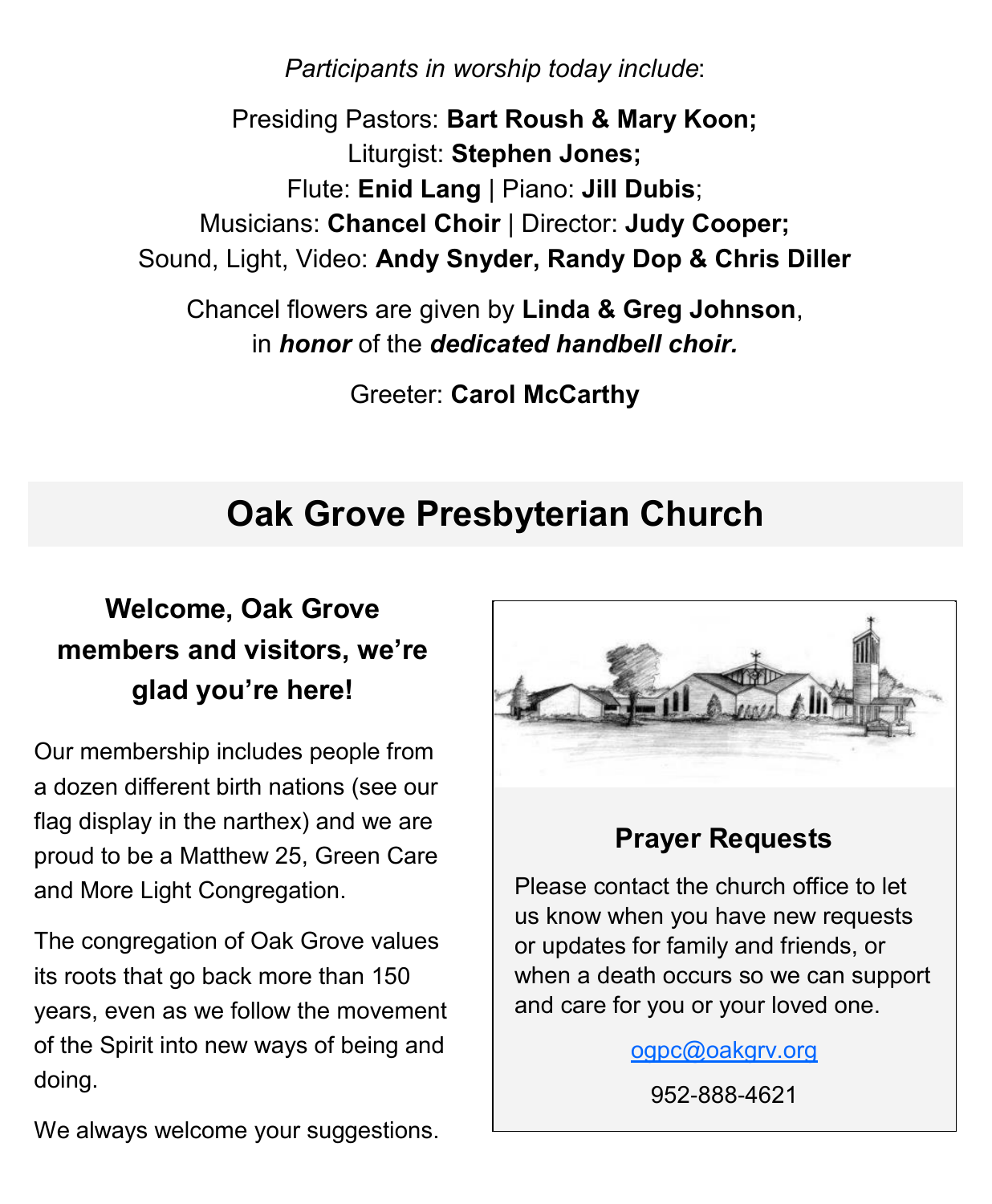*Participants in worship today include*:

Presiding Pastors: **Bart Roush & Mary Koon;** Liturgist: **Stephen Jones;** Flute: **Enid Lang** | Piano: **Jill Dubis**; Musicians: **Chancel Choir** | Director: **Judy Cooper;** Sound, Light, Video: **Andy Snyder, Randy Dop & Chris Diller**

Chancel flowers are given by **Linda & Greg Johnson**, in *honor* of the *dedicated handbell choir.*

Greeter: **Carol McCarthy**

# **Oak Grove Presbyterian Church**

# **Welcome, Oak Grove members and visitors, we're glad you're here!**

Our membership includes people from a dozen different birth nations (see our flag display in the narthex) and we are proud to be a Matthew 25, Green Care and More Light Congregation.

The congregation of Oak Grove values its roots that go back more than 150 years, even as we follow the movement of the Spirit into new ways of being and doing.



## **Prayer Requests**

Please contact the church office to let us know when you have new requests or updates for family and friends, or when a death occurs so we can support and care for you or your loved one.

[ogpc@oakgrv.org](mailto:ogpc@oakgrv.org)

952-888-4621

We always welcome your suggestions.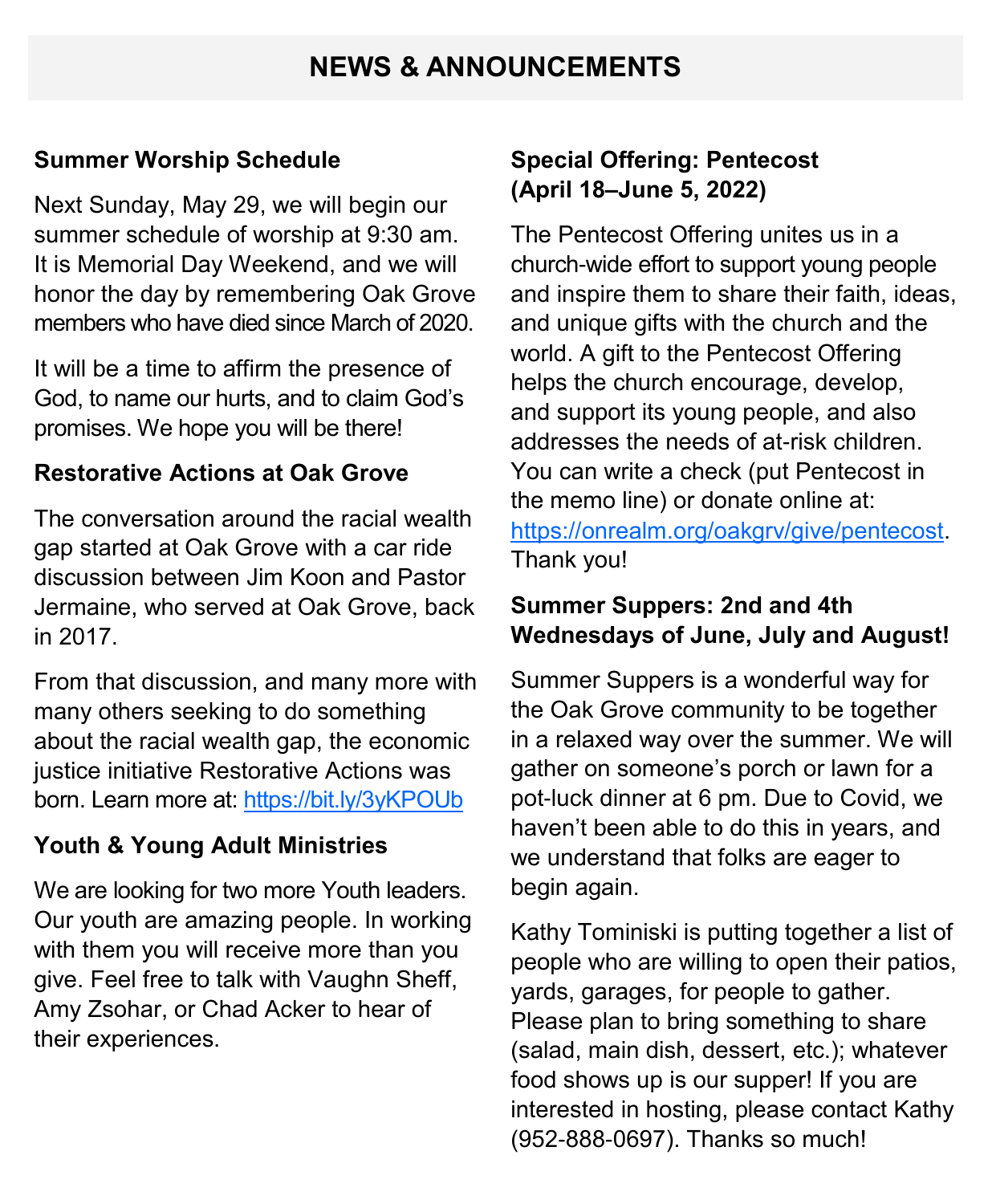## **NEWS & ANNOUNCEMENTS**

#### **Summer Worship Schedule**

Next Sunday, May 29, we will begin our summer schedule of worship at 9:30 am. It is Memorial Day Weekend, and we will honor the day by remembering Oak Grove members who have died since March of 2020.

It will be a time to affirm the presence of God, to name our hurts, and to claim God's promises. We hope you will be there!

#### **Restorative Actions at Oak Grove**

The conversation around the racial wealth gap started at Oak Grove with a car ride discussion between Jim Koon and Pastor Jermaine, who served at Oak Grove, back in 2017.

From that discussion, and many more with many others seeking to do something about the racial wealth gap, the economic justice initiative Restorative Actions was born. Learn more at:<https://bit.ly/3yKPOUb>

#### **Youth & Young Adult Ministries**

We are looking for two more Youth leaders. Our youth are amazing people. In working with them you will receive more than you give. Feel free to talk with Vaughn Sheff, Amy Zsohar, or Chad Acker to hear of their experiences.

#### **Special Offering: Pentecost (April 18–June 5, 2022)**

The Pentecost Offering unites us in a church-wide effort to support young people and inspire them to share their faith, ideas, and unique gifts with the church and the world. A gift to the Pentecost Offering helps the church encourage, develop, and support its young people, and also addresses the needs of at-risk children. You can write a check (put Pentecost in the memo line) or donate online at: [https://onrealm.org/oakgrv/give/pentecost.](https://onrealm.org/oakgrv/give/pentecost) Thank you!

#### **Summer Suppers: 2nd and 4th Wednesdays of June, July and August!**

Summer Suppers is a wonderful way for the Oak Grove community to be together in a relaxed way over the summer. We will gather on someone's porch or lawn for a pot-luck dinner at 6 pm. Due to Covid, we haven't been able to do this in years, and we understand that folks are eager to begin again.

Kathy Tominiski is putting together a list of people who are willing to open their patios, yards, garages, for people to gather. Please plan to bring something to share (salad, main dish, dessert, etc.); whatever food shows up is our supper! If you are interested in hosting, please contact Kathy (952-888-0697). Thanks so much!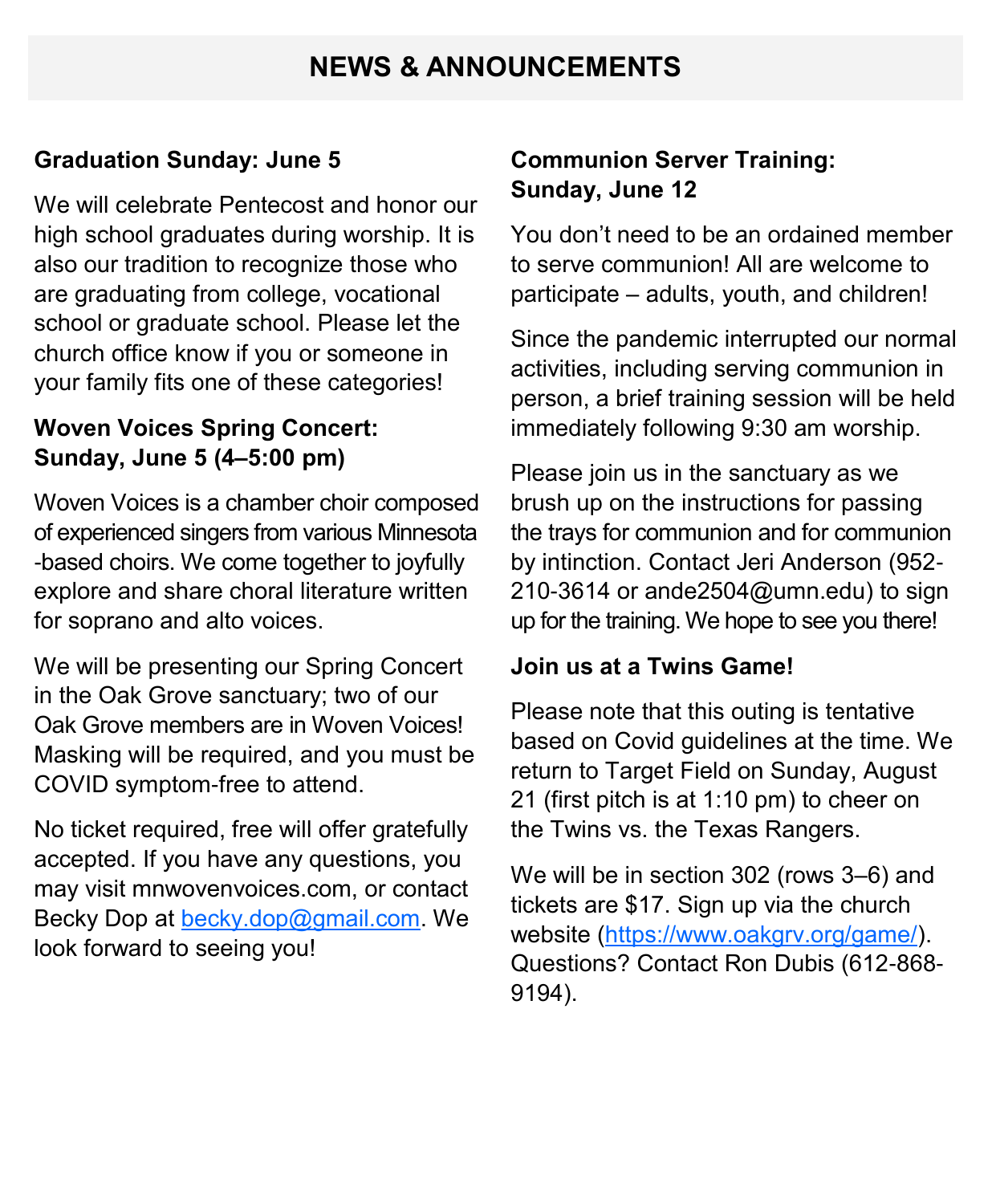## **NEWS & ANNOUNCEMENTS**

#### **Graduation Sunday: June 5**

We will celebrate Pentecost and honor our high school graduates during worship. It is also our tradition to recognize those who are graduating from college, vocational school or graduate school. Please let the church office know if you or someone in your family fits one of these categories!

#### **Woven Voices Spring Concert: Sunday, June 5 (4–5:00 pm)**

Woven Voices is a chamber choir composed of experienced singers from various Minnesota -based choirs. We come together to joyfully explore and share choral literature written for soprano and alto voices.

We will be presenting our Spring Concert in the Oak Grove sanctuary; two of our Oak Grove members are in Woven Voices! Masking will be required, and you must be COVID symptom-free to attend.

No ticket required, free will offer gratefully accepted. If you have any questions, you may visit mnwovenvoices.com, or contact Becky Dop at [becky.dop@gmail.com.](mailto:becky.dop@gmail.com) We look forward to seeing you!

#### **Communion Server Training: Sunday, June 12**

You don't need to be an ordained member to serve communion! All are welcome to participate – adults, youth, and children!

Since the pandemic interrupted our normal activities, including serving communion in person, a brief training session will be held immediately following 9:30 am worship.

Please join us in the sanctuary as we brush up on the instructions for passing the trays for communion and for communion by intinction. Contact Jeri Anderson (952- 210-3614 or ande2504@umn.edu) to sign up for the training. We hope to see you there!

#### **Join us at a Twins Game!**

Please note that this outing is tentative based on Covid guidelines at the time. We return to Target Field on Sunday, August 21 (first pitch is at 1:10 pm) to cheer on the Twins vs. the Texas Rangers.

We will be in section 302 (rows 3–6) and tickets are \$17. Sign up via the church website ([https://www.oakgrv.org/game/\)](https://www.oakgrv.org/game/). Questions? Contact Ron Dubis (612-868- 9194).